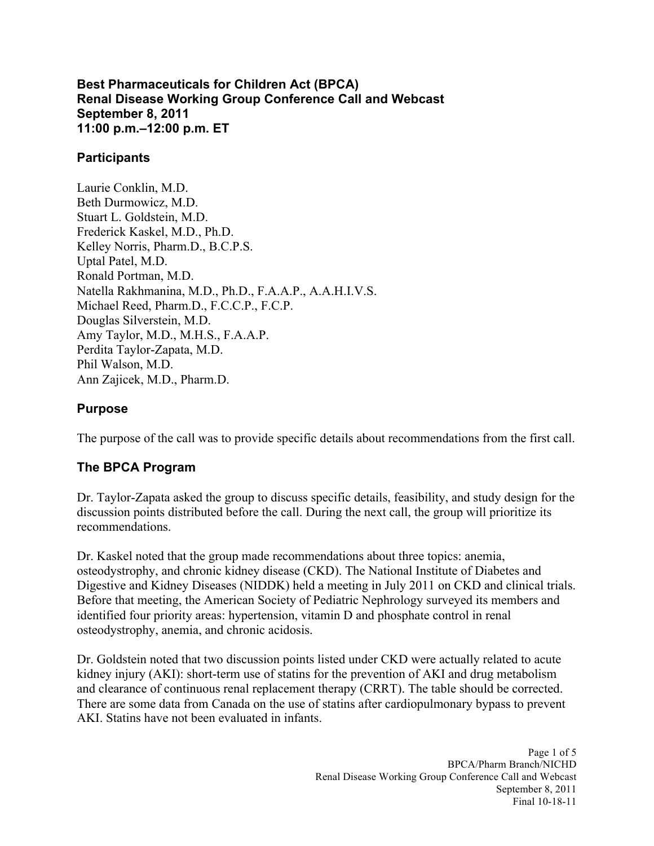#### **Best Pharmaceuticals for Children Act (BPCA) Renal Disease Working Group Conference Call and Webcast September 8, 2011 11:00 p.m.–12:00 p.m. ET**

## **Participants**

Laurie Conklin, M.D. Beth Durmowicz, M.D. Stuart L. Goldstein, M.D. Frederick Kaskel, M.D., Ph.D. Kelley Norris, Pharm.D., B.C.P.S. Uptal Patel, M.D. Ronald Portman, M.D. Natella Rakhmanina, M.D., Ph.D., F.A.A.P., A.A.H.I.V.S. Michael Reed, Pharm.D., F.C.C.P., F.C.P. Douglas Silverstein, M.D. Amy Taylor, M.D., M.H.S., F.A.A.P. Perdita Taylor-Zapata, M.D. Phil Walson, M.D. Ann Zajicek, M.D., Pharm.D.

### **Purpose**

The purpose of the call was to provide specific details about recommendations from the first call.

# **The BPCA Program**

Dr. Taylor-Zapata asked the group to discuss specific details, feasibility, and study design for the discussion points distributed before the call. During the next call, the group will prioritize its recommendations.

Dr. Kaskel noted that the group made recommendations about three topics: anemia, osteodystrophy, and chronic kidney disease (CKD). The National Institute of Diabetes and Digestive and Kidney Diseases (NIDDK) held a meeting in July 2011 on CKD and clinical trials. Before that meeting, the American Society of Pediatric Nephrology surveyed its members and identified four priority areas: hypertension, vitamin D and phosphate control in renal osteodystrophy, anemia, and chronic acidosis.

Dr. Goldstein noted that two discussion points listed under CKD were actually related to acute kidney injury (AKI): short-term use of statins for the prevention of AKI and drug metabolism and clearance of continuous renal replacement therapy (CRRT). The table should be corrected. There are some data from Canada on the use of statins after cardiopulmonary bypass to prevent AKI. Statins have not been evaluated in infants.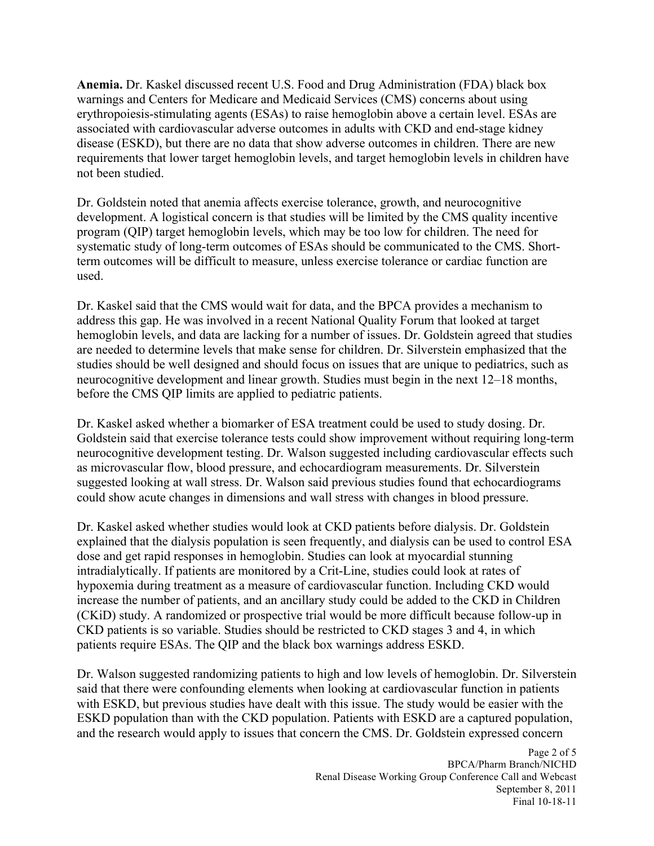**Anemia.** Dr. Kaskel discussed recent U.S. Food and Drug Administration (FDA) black box warnings and Centers for Medicare and Medicaid Services (CMS) concerns about using erythropoiesis-stimulating agents (ESAs) to raise hemoglobin above a certain level. ESAs are associated with cardiovascular adverse outcomes in adults with CKD and end-stage kidney disease (ESKD), but there are no data that show adverse outcomes in children. There are new requirements that lower target hemoglobin levels, and target hemoglobin levels in children have not been studied.

Dr. Goldstein noted that anemia affects exercise tolerance, growth, and neurocognitive development. A logistical concern is that studies will be limited by the CMS quality incentive program (QIP) target hemoglobin levels, which may be too low for children. The need for systematic study of long-term outcomes of ESAs should be communicated to the CMS. Shortterm outcomes will be difficult to measure, unless exercise tolerance or cardiac function are used.

Dr. Kaskel said that the CMS would wait for data, and the BPCA provides a mechanism to address this gap. He was involved in a recent National Quality Forum that looked at target hemoglobin levels, and data are lacking for a number of issues. Dr. Goldstein agreed that studies are needed to determine levels that make sense for children. Dr. Silverstein emphasized that the studies should be well designed and should focus on issues that are unique to pediatrics, such as neurocognitive development and linear growth. Studies must begin in the next 12–18 months, before the CMS QIP limits are applied to pediatric patients.

Dr. Kaskel asked whether a biomarker of ESA treatment could be used to study dosing. Dr. Goldstein said that exercise tolerance tests could show improvement without requiring long-term neurocognitive development testing. Dr. Walson suggested including cardiovascular effects such as microvascular flow, blood pressure, and echocardiogram measurements. Dr. Silverstein suggested looking at wall stress. Dr. Walson said previous studies found that echocardiograms could show acute changes in dimensions and wall stress with changes in blood pressure.

Dr. Kaskel asked whether studies would look at CKD patients before dialysis. Dr. Goldstein explained that the dialysis population is seen frequently, and dialysis can be used to control ESA dose and get rapid responses in hemoglobin. Studies can look at myocardial stunning intradialytically. If patients are monitored by a Crit-Line, studies could look at rates of hypoxemia during treatment as a measure of cardiovascular function. Including CKD would increase the number of patients, and an ancillary study could be added to the CKD in Children (CKiD) study. A randomized or prospective trial would be more difficult because follow-up in CKD patients is so variable. Studies should be restricted to CKD stages 3 and 4, in which patients require ESAs. The QIP and the black box warnings address ESKD.

Dr. Walson suggested randomizing patients to high and low levels of hemoglobin. Dr. Silverstein said that there were confounding elements when looking at cardiovascular function in patients with ESKD, but previous studies have dealt with this issue. The study would be easier with the ESKD population than with the CKD population. Patients with ESKD are a captured population, and the research would apply to issues that concern the CMS. Dr. Goldstein expressed concern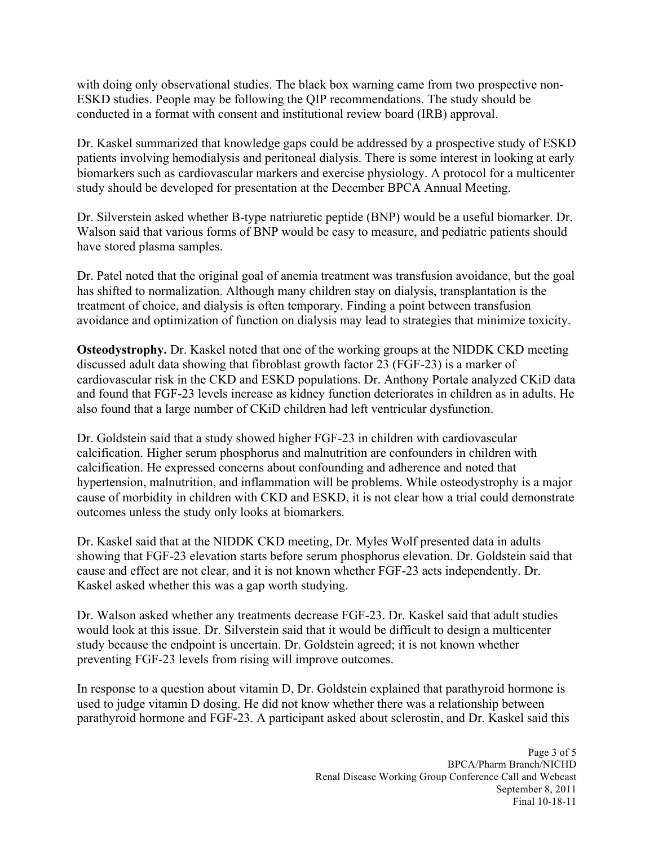with doing only observational studies. The black box warning came from two prospective non-ESKD studies. People may be following the QIP recommendations. The study should be conducted in a format with consent and institutional review board (IRB) approval.

Dr. Kaskel summarized that knowledge gaps could be addressed by a prospective study of ESKD patients involving hemodialysis and peritoneal dialysis. There is some interest in looking at early biomarkers such as cardiovascular markers and exercise physiology. A protocol for a multicenter study should be developed for presentation at the December BPCA Annual Meeting.

Dr. Silverstein asked whether B-type natriuretic peptide (BNP) would be a useful biomarker. Dr. Walson said that various forms of BNP would be easy to measure, and pediatric patients should have stored plasma samples.

Dr. Patel noted that the original goal of anemia treatment was transfusion avoidance, but the goal has shifted to normalization. Although many children stay on dialysis, transplantation is the treatment of choice, and dialysis is often temporary. Finding a point between transfusion avoidance and optimization of function on dialysis may lead to strategies that minimize toxicity.

**Osteodystrophy.** Dr. Kaskel noted that one of the working groups at the NIDDK CKD meeting discussed adult data showing that fibroblast growth factor 23 (FGF-23) is a marker of cardiovascular risk in the CKD and ESKD populations. Dr. Anthony Portale analyzed CKiD data and found that FGF-23 levels increase as kidney function deteriorates in children as in adults. He also found that a large number of CKiD children had left ventricular dysfunction.

Dr. Goldstein said that a study showed higher FGF-23 in children with cardiovascular calcification. Higher serum phosphorus and malnutrition are confounders in children with calcification. He expressed concerns about confounding and adherence and noted that hypertension, malnutrition, and inflammation will be problems. While osteodystrophy is a major cause of morbidity in children with CKD and ESKD, it is not clear how a trial could demonstrate outcomes unless the study only looks at biomarkers.

Dr. Kaskel said that at the NIDDK CKD meeting, Dr. Myles Wolf presented data in adults showing that FGF-23 elevation starts before serum phosphorus elevation. Dr. Goldstein said that cause and effect are not clear, and it is not known whether FGF-23 acts independently. Dr. Kaskel asked whether this was a gap worth studying.

Dr. Walson asked whether any treatments decrease FGF-23. Dr. Kaskel said that adult studies would look at this issue. Dr. Silverstein said that it would be difficult to design a multicenter study because the endpoint is uncertain. Dr. Goldstein agreed; it is not known whether preventing FGF-23 levels from rising will improve outcomes.

In response to a question about vitamin D, Dr. Goldstein explained that parathyroid hormone is used to judge vitamin D dosing. He did not know whether there was a relationship between parathyroid hormone and FGF-23. A participant asked about sclerostin, and Dr. Kaskel said this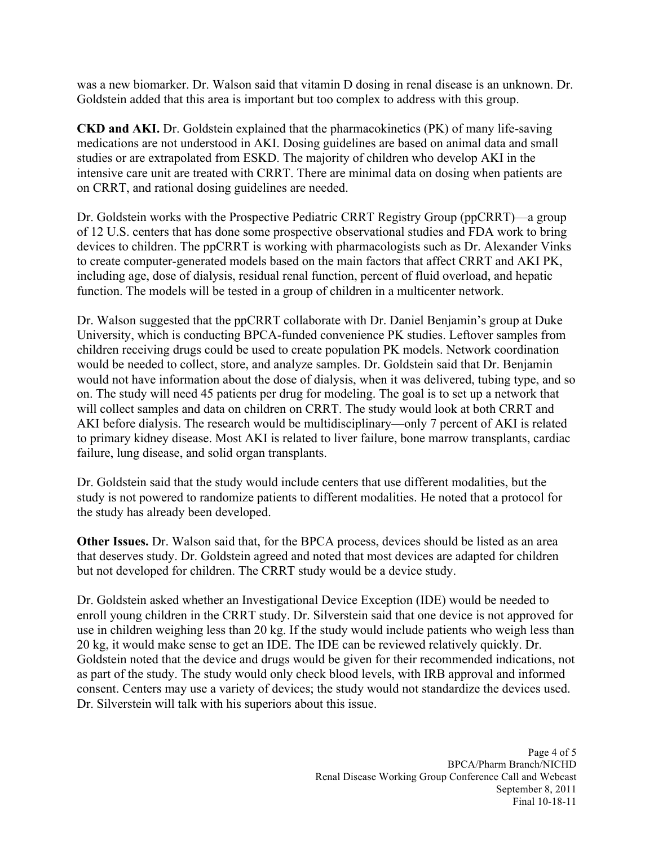was a new biomarker. Dr. Walson said that vitamin D dosing in renal disease is an unknown. Dr. Goldstein added that this area is important but too complex to address with this group.

**CKD and AKI.** Dr. Goldstein explained that the pharmacokinetics (PK) of many life-saving medications are not understood in AKI. Dosing guidelines are based on animal data and small studies or are extrapolated from ESKD. The majority of children who develop AKI in the intensive care unit are treated with CRRT. There are minimal data on dosing when patients are on CRRT, and rational dosing guidelines are needed.

Dr. Goldstein works with the Prospective Pediatric CRRT Registry Group (ppCRRT)—a group of 12 U.S. centers that has done some prospective observational studies and FDA work to bring devices to children. The ppCRRT is working with pharmacologists such as Dr. Alexander Vinks to create computer-generated models based on the main factors that affect CRRT and AKI PK, including age, dose of dialysis, residual renal function, percent of fluid overload, and hepatic function. The models will be tested in a group of children in a multicenter network.

Dr. Walson suggested that the ppCRRT collaborate with Dr. Daniel Benjamin's group at Duke University, which is conducting BPCA-funded convenience PK studies. Leftover samples from children receiving drugs could be used to create population PK models. Network coordination would be needed to collect, store, and analyze samples. Dr. Goldstein said that Dr. Benjamin would not have information about the dose of dialysis, when it was delivered, tubing type, and so on. The study will need 45 patients per drug for modeling. The goal is to set up a network that will collect samples and data on children on CRRT. The study would look at both CRRT and AKI before dialysis. The research would be multidisciplinary—only 7 percent of AKI is related to primary kidney disease. Most AKI is related to liver failure, bone marrow transplants, cardiac failure, lung disease, and solid organ transplants.

Dr. Goldstein said that the study would include centers that use different modalities, but the study is not powered to randomize patients to different modalities. He noted that a protocol for the study has already been developed.

**Other Issues.** Dr. Walson said that, for the BPCA process, devices should be listed as an area that deserves study. Dr. Goldstein agreed and noted that most devices are adapted for children but not developed for children. The CRRT study would be a device study.

Dr. Goldstein asked whether an Investigational Device Exception (IDE) would be needed to enroll young children in the CRRT study. Dr. Silverstein said that one device is not approved for use in children weighing less than 20 kg. If the study would include patients who weigh less than 20 kg, it would make sense to get an IDE. The IDE can be reviewed relatively quickly. Dr. Goldstein noted that the device and drugs would be given for their recommended indications, not as part of the study. The study would only check blood levels, with IRB approval and informed consent. Centers may use a variety of devices; the study would not standardize the devices used. Dr. Silverstein will talk with his superiors about this issue.